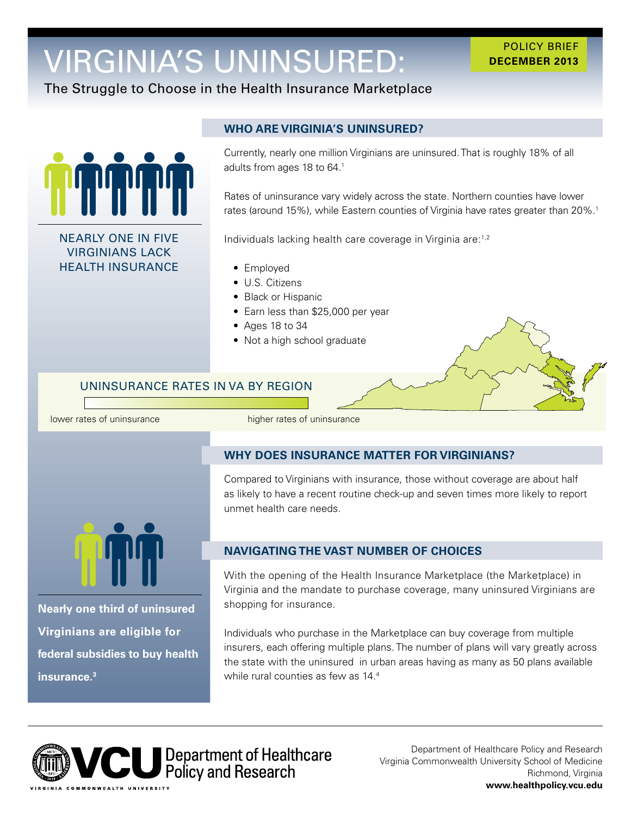# VIRGINIA'S UNINSURED:

#### POLICY BRIEF **DECEMBER 2013**

## The Struggle to Choose in the Health Insurance Marketplace



NEARLY ONE IN FIVE VIRGINIANS LACK HEALTH INSURANCE

## **WHO ARE VIRGINIA'S UNINSURED?**

adults from ages 18 to 64. $^{\rm 1}$ Currently, nearly one million Virginians are uninsured. That is roughly 18% of all

Rates of uninsurance vary widely across the state. Northern counties have lower rates (around 15%), while Eastern counties of Virginia have rates greater than 20%.<sup>1</sup>

Individuals lacking health care coverage in Virginia are:1,2

- Employed
- U.S. Citizens
- Black or Hispanic
- Earn less than \$25,000 per year
- Ages 18 to 34
- Not a high school graduate

## UNINSURANCE RATES IN VA BY REGION

lower rates of uninsurance higher rates of uninsurance

## **WHY DOES INSURANCE MATTER FOR VIRGINIANS?**

Compared to Virginians with insurance, those without coverage are about half as likely to have a recent routine check-up and seven times more likely to report unmet health care needs.



**Nearly one third of uninsured Virginians are eligible for federal subsidies to buy health insurance.3** 

## **NAVIGATING THE VAST NUMBER OF CHOICES**

With the opening of the Health Insurance Marketplace (the Marketplace) in Virginia and the mandate to purchase coverage, many uninsured Virginians are shopping for insurance.

Individuals who purchase in the Marketplace can buy coverage from multiple insurers, each offering multiple plans. The number of plans will vary greatly across the state with the uninsured in urban areas having as many as 50 plans available while rural counties as few as 14.4



Department of Healthcare Policy and Research Virginia Commonwealth University School of Medicine Richmond, Virginia **<www.healthpolicy.vcu.edu>**